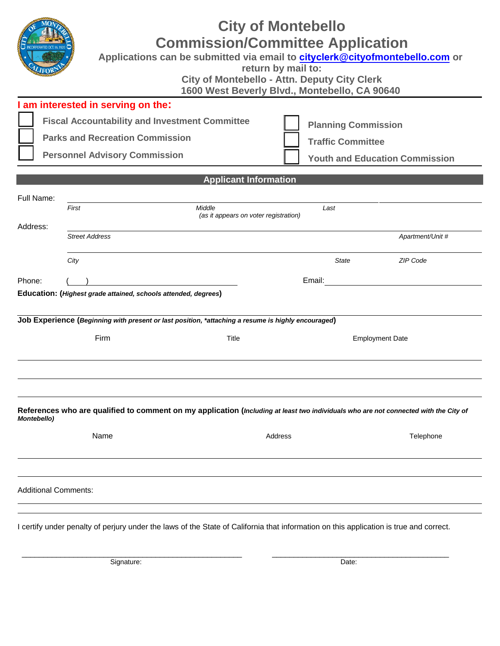# **City of Montebello Commission/Committee Application Applications can be submitted via email to cityclerk[@cityofmontebello.com](mailto:kguillen2@cityofmontebello.com) or return by mail to: City of Montebello - Attn. Deputy City Clerk 1600 West Beverly Blvd., Montebello, CA 90640 I am interested in serving on the: Fiscal Accountability and Investment Committee Parks and Recreation Commission Personnel Advisory Commission Planning Commission Traffic Committee Youth and Education Commission Applicant Information**  Full Name: *First Middle Last (as it appears on voter registration)*  Address: *Street Address Apartment/Unit # City State ZIP Code* Phone: ( ) Email: **Education: (***Highest grade attained, schools attended, degrees***) Job Experience (***Beginning with present or last position, \*attaching a resume is highly encouraged***)**  Firm Title Title Employment Date **References who are qualified to comment on my application (***Including at least two individuals who are not connected with the City of Montebello)* Name **Address** Telephone **Address** Telephone Additional Comments:

I certify under penalty of perjury under the laws of the State of California that information on this application is true and correct.

\_\_\_\_\_\_\_\_\_\_\_\_\_\_\_\_\_\_\_\_\_\_\_\_\_\_\_\_\_\_\_\_\_\_\_\_\_\_\_\_\_\_\_\_\_\_\_\_\_\_\_ \_\_\_\_\_\_\_\_\_\_\_\_\_\_\_\_\_\_\_\_\_\_\_\_\_\_\_\_\_\_\_\_\_\_\_\_\_\_\_\_\_

Signature: Date: Date: Date: Date: Date: Date: Date: Date: Date: Date: Date: Date: Date: Date: Date: Date: Date: Date: Date: Date: Date: Date: Date: Date: Date: Date: Date: Date: Date: Date: Date: Date: Date: Date: Date: D